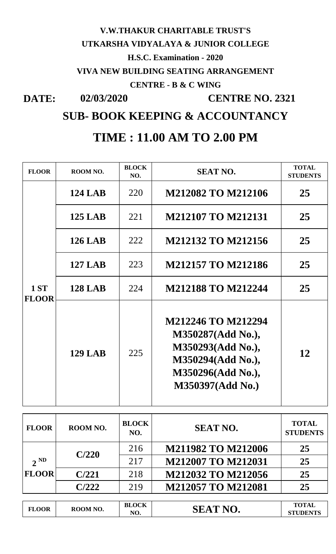## **DATE: 02/03/2020 VIVA NEW BUILDING SEATING ARRANGEMENT V.W.THAKUR CHARITABLE TRUST'S UTKARSHA VIDYALAYA & JUNIOR COLLEGE H.S.C. Examination - 2020 CENTRE - B & C WING CENTRE NO. 2321**

**SUB- BOOK KEEPING & ACCOUNTANCY**

## **TIME : 11.00 AM TO 2.00 PM**

 $\overline{\phantom{a}}$ 

| <b>FLOOR</b>             | ROOM NO.       | <b>BLOCK</b><br>NO. | <b>SEAT NO.</b>                                                                                                                   | <b>TOTAL</b><br><b>STUDENTS</b> |
|--------------------------|----------------|---------------------|-----------------------------------------------------------------------------------------------------------------------------------|---------------------------------|
|                          | <b>124 LAB</b> | 220                 | <b>M212082 TO M212106</b>                                                                                                         | 25                              |
|                          | <b>125 LAB</b> | 221                 | <b>M212107 TO M212131</b>                                                                                                         | 25                              |
|                          | <b>126 LAB</b> | 222                 | <b>M212132 TO M212156</b>                                                                                                         | 25                              |
|                          | <b>127 LAB</b> | 223                 | <b>M212157 TO M212186</b>                                                                                                         | 25                              |
| 1 ST<br><b>FLOOR</b>     | <b>128 LAB</b> | 224                 | <b>M212188 TO M212244</b>                                                                                                         | 25                              |
|                          | <b>129 LAB</b> | 225                 | M212246 TO M212294<br>M350287(Add No.),<br>M350293(Add No.),<br>M350294(Add No.),<br>M350296(Add No.),<br><b>M350397(Add No.)</b> | 12                              |
| <b>FLOOR</b>             | ROOM NO.       | <b>BLOCK</b><br>NO. | <b>SEAT NO.</b>                                                                                                                   | <b>TOTAL</b><br><b>STUDENTS</b> |
|                          | C/220          | 216                 | <b>M211982 TO M212006</b>                                                                                                         | 25                              |
| $2^{ND}$<br><b>FLOOR</b> |                | 217                 | <b>M212007 TO M212031</b>                                                                                                         | 25                              |
|                          | C/221          | 218                 | <b>M212032 TO M212056</b>                                                                                                         | 25                              |
|                          | C/222          | 219                 | <b>M212057 TO M212081</b>                                                                                                         | 25                              |
| <b>FLOOR</b>             | ROOM NO.       | <b>BLOCK</b><br>NO. | <b>SEAT NO.</b>                                                                                                                   | <b>TOTAL</b><br><b>STUDENTS</b> |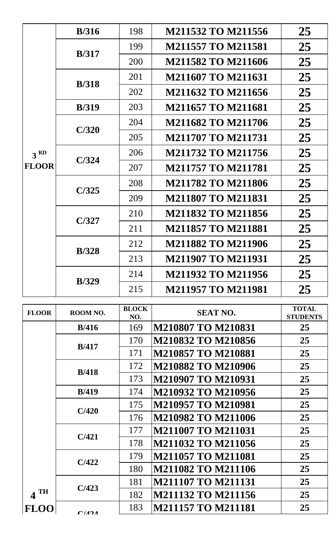|                 | B/316         | 198 | M211532 TO M211556        | 25 |
|-----------------|---------------|-----|---------------------------|----|
|                 | B/317         | 199 | <b>M211557 TO M211581</b> | 25 |
|                 |               | 200 | <b>M211582 TO M211606</b> | 25 |
|                 | <b>B</b> /318 | 201 | <b>M211607 TO M211631</b> | 25 |
|                 |               | 202 | M211632 TO M211656        | 25 |
|                 | B/319         | 203 | <b>M211657 TO M211681</b> | 25 |
|                 | C/320         | 204 | <b>M211682 TO M211706</b> | 25 |
|                 |               | 205 | <b>M211707 TO M211731</b> | 25 |
| 3 <sup>RD</sup> | C/324         | 206 | <b>M211732 TO M211756</b> | 25 |
| <b>FLOOR</b>    |               | 207 | <b>M211757 TO M211781</b> | 25 |
|                 | C/325         | 208 | <b>M211782 TO M211806</b> | 25 |
|                 |               | 209 | <b>M211807 TO M211831</b> | 25 |
|                 | C/327         | 210 | <b>M211832 TO M211856</b> | 25 |
|                 |               | 211 | <b>M211857 TO M211881</b> | 25 |
|                 | <b>B</b> /328 | 212 | <b>M211882 TO M211906</b> | 25 |
|                 |               | 213 | <b>M211907 TO M211931</b> | 25 |
|                 | <b>B</b> /329 | 214 | <b>M211932 TO M211956</b> | 25 |
|                 |               | 215 | <b>M211957 TO M211981</b> | 25 |

| <b>FLOOR</b> | ROOM NO.      | <b>BLOCK</b><br>NO. | <b>SEAT NO.</b>           | <b>TOTAL</b><br><b>STUDENTS</b> |
|--------------|---------------|---------------------|---------------------------|---------------------------------|
|              | B/416         | 169                 | <b>M210807 TO M210831</b> | 25                              |
|              |               | 170                 | <b>M210832 TO M210856</b> | 25                              |
|              | B/417         | 171                 | <b>M210857 TO M210881</b> | 25                              |
|              | <b>B</b> /418 | 172                 | M210882 TO M210906        | 25                              |
|              |               | 173                 | M210907 TO M210931        | 25                              |
|              | <b>B</b> /419 | 174                 | M210932 TO M210956        | 25                              |
|              | C/420         | 175                 | <b>M210957 TO M210981</b> | 25                              |
|              |               | 176                 | <b>M210982 TO M211006</b> | 25                              |
|              | C/421         | 177                 | <b>M211007 TO M211031</b> | 25                              |
|              |               | 178                 | <b>M211032 TO M211056</b> | 25                              |
|              | C/422         | 179                 | <b>M211057 TO M211081</b> | 25                              |
|              |               | 180                 | <b>M211082 TO M211106</b> | 25                              |
|              | C/423         | 181                 | <b>M211107 TO M211131</b> | 25                              |
| <b>TH</b>    |               | 182                 | <b>M211132 TO M211156</b> | 25                              |
| <b>FLOC</b>  | C/121         | 183                 | <b>M211157 TO M211181</b> | 25                              |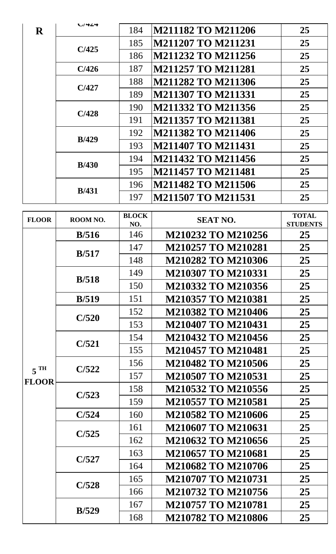| $\bf R$ | レバイムサ         | 184 | M211182 TO M211206        | 25 |
|---------|---------------|-----|---------------------------|----|
|         | C/425         | 185 | <b>M211207 TO M211231</b> | 25 |
|         |               | 186 | <b>M211232 TO M211256</b> | 25 |
|         | C/426         | 187 | <b>M211257 TO M211281</b> | 25 |
|         | C/427         | 188 | <b>M211282 TO M211306</b> | 25 |
|         |               | 189 | <b>M211307 TO M211331</b> | 25 |
|         | C/428         | 190 | M211332 TO M211356        | 25 |
|         |               | 191 | <b>M211357 TO M211381</b> | 25 |
|         | <b>B</b> /429 | 192 | <b>M211382 TO M211406</b> | 25 |
|         |               | 193 | <b>M211407 TO M211431</b> | 25 |
|         | <b>B</b> /430 | 194 | <b>M211432 TO M211456</b> | 25 |
|         |               | 195 | <b>M211457 TO M211481</b> | 25 |
|         | <b>B</b> /431 | 196 | <b>M211482 TO M211506</b> | 25 |
|         |               | 197 | <b>M211507 TO M211531</b> | 25 |

| <b>FLOOR</b>      | ROOM NO.      | <b>BLOCK</b><br>NO. | <b>SEAT NO.</b>           | <b>TOTAL</b><br><b>STUDENTS</b> |
|-------------------|---------------|---------------------|---------------------------|---------------------------------|
|                   | B/516         | 146                 | M210232 TO M210256        | 25                              |
|                   | B/517         | 147                 | <b>M210257 TO M210281</b> | 25                              |
|                   |               | 148                 | M210282 TO M210306        | 25                              |
|                   | <b>B</b> /518 | 149                 | M210307 TO M210331        | 25                              |
|                   |               | 150                 | M210332 TO M210356        | 25                              |
|                   | <b>B</b> /519 | 151                 | <b>M210357 TO M210381</b> | 25                              |
|                   | C/520         | 152                 | M210382 TO M210406        | 25                              |
|                   |               | 153                 | M210407 TO M210431        | 25                              |
|                   | C/521         | 154                 | M210432 TO M210456        | 25                              |
|                   |               | 155                 | <b>M210457 TO M210481</b> | 25                              |
| $5$ <sup>TH</sup> | C/522         | 156                 | <b>M210482 TO M210506</b> | 25                              |
| <b>FLOOR</b>      |               | 157                 | <b>M210507 TO M210531</b> | 25                              |
|                   | C/523         | 158                 | M210532 TO M210556        | 25                              |
|                   |               | 159                 | <b>M210557 TO M210581</b> | 25                              |
|                   | C/524         | 160                 | <b>M210582 TO M210606</b> | 25                              |
|                   | 161<br>C/525  |                     | <b>M210607 TO M210631</b> | 25                              |
|                   |               | 162                 | M210632 TO M210656        | 25                              |
|                   | C/527         | 163                 | <b>M210657 TO M210681</b> | 25                              |
|                   |               | 164                 | <b>M210682 TO M210706</b> | 25                              |
|                   | C/528         | 165                 | <b>M210707 TO M210731</b> | 25                              |
|                   |               | 166                 | M210732 TO M210756        | 25                              |
|                   | <b>B</b> /529 | 167                 | <b>M210757 TO M210781</b> | 25                              |
|                   |               | 168                 | <b>M210782 TO M210806</b> | 25                              |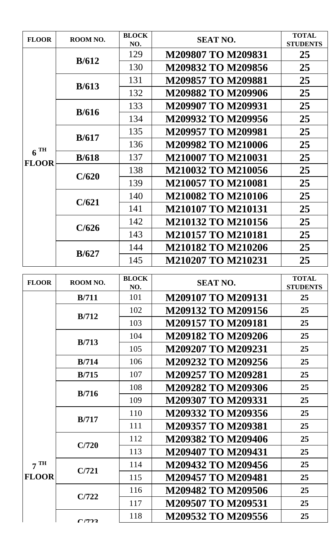| <b>FLOOR</b>      | ROOM NO. | <b>BLOCK</b><br>NO. | <b>SEAT NO.</b>           | <b>TOTAL</b><br><b>STUDENTS</b> |
|-------------------|----------|---------------------|---------------------------|---------------------------------|
|                   |          | 129                 | <b>M209807 TO M209831</b> | 25                              |
|                   | B/612    | 130                 | M209832 TO M209856        | 25                              |
|                   |          | 131                 | <b>M209857 TO M209881</b> | 25                              |
|                   | B/613    | 132                 | M209882 TO M209906        | 25                              |
|                   |          | 133                 | M209907 TO M209931        | 25                              |
|                   | B/616    | 134                 | M209932 TO M209956        | 25                              |
|                   |          | 135                 | <b>M209957 TO M209981</b> | 25                              |
|                   | B/617    | 136                 | <b>M209982 TO M210006</b> | 25                              |
| $6$ <sup>TH</sup> | B/618    | 137                 | <b>M210007 TO M210031</b> | 25                              |
| <b>FLOOR</b>      |          | 138                 | <b>M210032 TO M210056</b> | 25                              |
|                   | C/620    | 139                 | <b>M210057 TO M210081</b> | 25                              |
|                   |          | 140                 | <b>M210082 TO M210106</b> | 25                              |
|                   | C/621    | 141                 | <b>M210107 TO M210131</b> | 25                              |
|                   |          | 142                 | <b>M210132 TO M210156</b> | 25                              |
|                   | C/626    | 143                 | <b>M210157 TO M210181</b> | 25                              |
|                   |          | 144                 | <b>M210182 TO M210206</b> | 25                              |
|                   | B/627    | 145                 | <b>M210207 TO M210231</b> | 25                              |
|                   |          | <b>BLOCK</b>        |                           | <b>TOTAL</b>                    |
| <b>FLOOR</b>      | ROOM NO. | NO.                 | <b>SEAT NO.</b>           | <b>STUDENTS</b>                 |
|                   | B/711    | 101                 | <b>M209107 TO M209131</b> | 25                              |
|                   | B/712    | 102                 | M209132 TO M209156        | 25                              |
|                   |          | 103                 | <b>M209157 TO M209181</b> | 25                              |
|                   | B/713    | 104                 | M209182 TO M209206        | 25<br>25                        |
|                   |          | 105                 | M209207 TO M209231        |                                 |
|                   | B/714    | 106                 | M209232 TO M209256        | 25                              |
|                   | B/715    | 107                 | M209257 TO M209281        | 25                              |
|                   | B/716    | 108                 | M209282 TO M209306        | 25                              |
|                   |          | 109                 | M209307 TO M209331        | 25                              |
|                   | B/717    | 110                 | M209332 TO M209356        | 25                              |
|                   |          | 111                 | M209357 TO M209381        | 25                              |
|                   |          | 112                 | M209382 TO M209406        | 25                              |
|                   |          |                     |                           |                                 |
|                   | C/720    | 113                 | M209407 TO M209431        | 25                              |
| 7 <sup>TH</sup>   |          | 114                 | M209432 TO M209456        | 25                              |
| <b>FLOOR</b>      | C/721    | 115                 | <b>M209457 TO M209481</b> | 25                              |

117 **M209507 TO M209531 25**

**C/722**

**C/723**

118 **M209532 TO M209556 25**